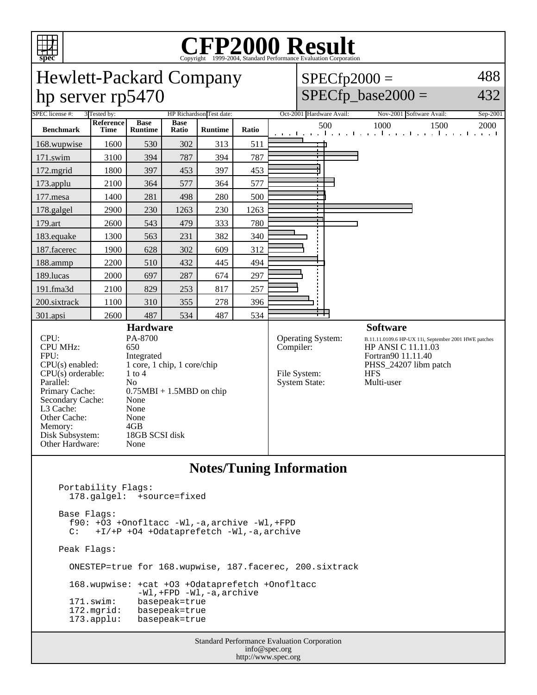

# C<sub>opyright</sub> ©1999-2004, Standard Performance Evaluation Corporation

### Hewlett-Packard Company hp server rp5470

 $SPECfp2000 =$ 488

 $SPECfp\_base2000 =$ 

432

| ᆂ                                                                                                                                                                                                          | ᅩ                 |                                                                                                                                                                                                       |                      |                          |       |                                                                                                                                                                                                                                                    |  |  |
|------------------------------------------------------------------------------------------------------------------------------------------------------------------------------------------------------------|-------------------|-------------------------------------------------------------------------------------------------------------------------------------------------------------------------------------------------------|----------------------|--------------------------|-------|----------------------------------------------------------------------------------------------------------------------------------------------------------------------------------------------------------------------------------------------------|--|--|
| SPEC license #:                                                                                                                                                                                            | 3 Tested by:      |                                                                                                                                                                                                       |                      | HP Richardson Test date: |       | Oct-2001 Hardware Avail:<br>Nov-2001 Software Avail:<br>Sep-2001                                                                                                                                                                                   |  |  |
| <b>Benchmark</b>                                                                                                                                                                                           | Reference<br>Time | <b>Base</b><br><b>Runtime</b>                                                                                                                                                                         | <b>Base</b><br>Ratio | <b>Runtime</b>           | Ratio | 500<br>1000<br>1500<br>2000<br>التعبيلية والمستحل والمتعارف والمتعارفة والمنافذة<br>and the basic                                                                                                                                                  |  |  |
| 168.wupwise                                                                                                                                                                                                | 1600              | 530                                                                                                                                                                                                   | 302                  | 313                      | 511   |                                                                                                                                                                                                                                                    |  |  |
| 171.swim                                                                                                                                                                                                   | 3100              | 394                                                                                                                                                                                                   | 787                  | 394                      | 787   |                                                                                                                                                                                                                                                    |  |  |
| 172.mgrid                                                                                                                                                                                                  | 1800              | 397                                                                                                                                                                                                   | 453                  | 397                      | 453   |                                                                                                                                                                                                                                                    |  |  |
| 173.applu                                                                                                                                                                                                  | 2100              | 364                                                                                                                                                                                                   | 577                  | 364                      | 577   |                                                                                                                                                                                                                                                    |  |  |
| 177.mesa                                                                                                                                                                                                   | 1400              | 281                                                                                                                                                                                                   | 498                  | 280                      | 500   |                                                                                                                                                                                                                                                    |  |  |
| 178.galgel                                                                                                                                                                                                 | 2900              | 230                                                                                                                                                                                                   | 1263                 | 230                      | 1263  |                                                                                                                                                                                                                                                    |  |  |
| 179.art                                                                                                                                                                                                    | 2600              | 543                                                                                                                                                                                                   | 479                  | 333                      | 780   |                                                                                                                                                                                                                                                    |  |  |
| 183.equake                                                                                                                                                                                                 | 1300              | 563                                                                                                                                                                                                   | 231                  | 382                      | 340   |                                                                                                                                                                                                                                                    |  |  |
| 187.facerec                                                                                                                                                                                                | 1900              | 628                                                                                                                                                                                                   | 302                  | 609                      | 312   |                                                                                                                                                                                                                                                    |  |  |
| 188.ammp                                                                                                                                                                                                   | 2200              | 510                                                                                                                                                                                                   | 432                  | 445                      | 494   |                                                                                                                                                                                                                                                    |  |  |
| 189.lucas                                                                                                                                                                                                  | 2000              | 697                                                                                                                                                                                                   | 287                  | 674                      | 297   |                                                                                                                                                                                                                                                    |  |  |
| 191.fma3d                                                                                                                                                                                                  | 2100              | 829                                                                                                                                                                                                   | 253                  | 817                      | 257   |                                                                                                                                                                                                                                                    |  |  |
| 200.sixtrack                                                                                                                                                                                               | 1100              | 310                                                                                                                                                                                                   | 355                  | 278                      | 396   |                                                                                                                                                                                                                                                    |  |  |
| 301.apsi                                                                                                                                                                                                   | 2600              | 487                                                                                                                                                                                                   | 534                  | 487                      | 534   |                                                                                                                                                                                                                                                    |  |  |
| CPU:<br><b>CPU MHz:</b><br>FPU:<br>CPU(s) enabled:<br>$CPU(s)$ orderable:<br>Parallel:<br>Primary Cache:<br>Secondary Cache:<br>L3 Cache:<br>Other Cache:<br>Memory:<br>Disk Subsystem:<br>Other Hardware: |                   | <b>Hardware</b><br>PA-8700<br>650<br>Integrated<br>1 core, 1 chip, 1 core/chip<br>$1$ to $4$<br>N <sub>o</sub><br>$0.75MBI + 1.5MBD$ on chip<br>None<br>None<br>None<br>4GB<br>18GB SCSI disk<br>None |                      |                          |       | <b>Software</b><br>Operating System:<br>B.11.11.0109.6 HP-UX 11i, September 2001 HWE patches<br>Compiler:<br>HP ANSI C 11.11.03<br>Fortran90 11.11.40<br>PHSS_24207 libm patch<br>File System:<br><b>HFS</b><br>Multi-user<br><b>System State:</b> |  |  |
| <b>Notes/Tuning Information</b><br>Portability Flags:                                                                                                                                                      |                   |                                                                                                                                                                                                       |                      |                          |       |                                                                                                                                                                                                                                                    |  |  |
| 178.galgel: +source=fixed<br>Base Flags:<br>f90: +03 +Onofltacc -Wl,-a,archive -Wl,+FPD<br>+I/+P +04 +0dataprefetch -Wl,-a,archive<br>$\mathbb{C}$ :                                                       |                   |                                                                                                                                                                                                       |                      |                          |       |                                                                                                                                                                                                                                                    |  |  |
| Peak Flags:                                                                                                                                                                                                |                   |                                                                                                                                                                                                       |                      |                          |       |                                                                                                                                                                                                                                                    |  |  |
| ONESTEP=true for 168.wupwise, 187.facerec, 200.sixtrack                                                                                                                                                    |                   |                                                                                                                                                                                                       |                      |                          |       |                                                                                                                                                                                                                                                    |  |  |
| 168.wupwise: +cat +03 +0dataprefetch +0nofltacc<br>$-W1$ , +FPD $-W1$ , $-a$ , archive<br>171.swim:<br>basepeak=true<br>172.mgrid:<br>basepeak=true<br>$173.\text{applu}:$<br>basepeak=true                |                   |                                                                                                                                                                                                       |                      |                          |       |                                                                                                                                                                                                                                                    |  |  |

Standard Performance Evaluation Corporation info@spec.org http://www.spec.org